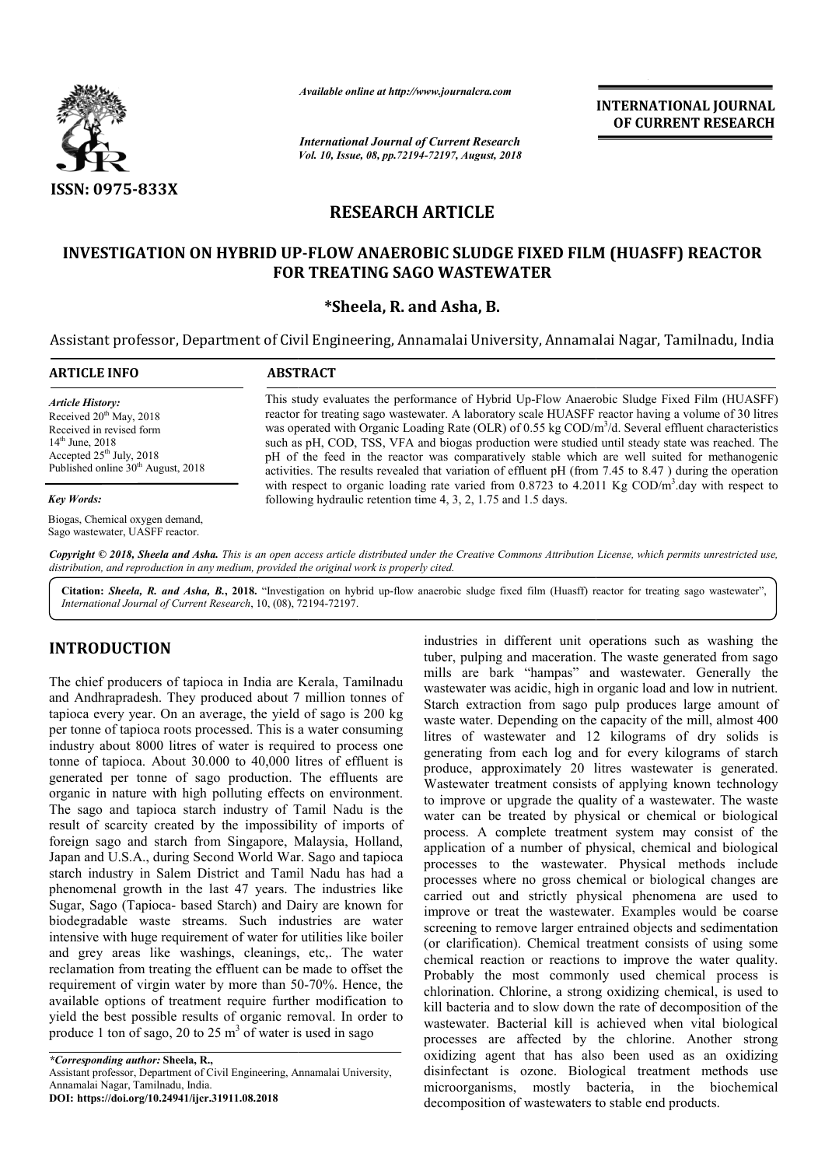

*Available online at http://www.journalcra.com*

*International Journal of Current Research Vol. 10, Issue, 08, pp.72194-72197, August, 2018* **INTERNATIONAL JOURNAL OF CURRENT RESEARCH**

# **RESEARCH ARTICLE**

## INVESTIGATION ON HYBRID UP-FLOW ANAEROBIC SLUDGE FIXED FILM (HUASFF) REACTOR **FOR TREATING SAGO WASTEWATER**

## **\*Sheela, R. and Asha, B.**

Assistant professor, Department of Civil Engineering, Annamalai University, Annamalai Nagar, Tamilnadu, India

| <b>ARTICLE INFO</b>                                                                                                                                                                                       | <b>ABSTRACT</b>                                                                                                                                                                                                                                                                                                                                                                                                                                                                                                                                                                                                                        |  |  |  |  |
|-----------------------------------------------------------------------------------------------------------------------------------------------------------------------------------------------------------|----------------------------------------------------------------------------------------------------------------------------------------------------------------------------------------------------------------------------------------------------------------------------------------------------------------------------------------------------------------------------------------------------------------------------------------------------------------------------------------------------------------------------------------------------------------------------------------------------------------------------------------|--|--|--|--|
| <b>Article History:</b><br>Received 20 <sup>th</sup> May, 2018<br>Received in revised form<br>$14^{\text{th}}$ June, 2018<br>Accepted $25th$ July, 2018<br>Published online 30 <sup>th</sup> August, 2018 | This study evaluates the performance of Hybrid Up-Flow Anaerobic Sludge Fixed Film (HUASFF)<br>reactor for treating sago wastewater. A laboratory scale HUASFF reactor having a volume of 30 litres<br>was operated with Organic Loading Rate (OLR) of 0.55 kg COD/m <sup>3</sup> /d. Several effluent characteristics<br>such as pH, COD, TSS, VFA and biogas production were studied until steady state was reached. The<br>pH of the feed in the reactor was comparatively stable which are well suited for methanogenic<br>activities. The results revealed that variation of effluent pH (from 7.45 to 8.47) during the operation |  |  |  |  |
| <b>Key Words:</b>                                                                                                                                                                                         | with respect to organic loading rate varied from 0.8723 to 4.2011 Kg $\text{COD/m}^3$ day with respect to<br>following hydraulic retention time 4, 3, 2, 1.75 and 1.5 days.                                                                                                                                                                                                                                                                                                                                                                                                                                                            |  |  |  |  |
| Biogas, Chemical oxygen demand,<br>Sago wastewater, UASFF reactor.                                                                                                                                        |                                                                                                                                                                                                                                                                                                                                                                                                                                                                                                                                                                                                                                        |  |  |  |  |

Copyright © 2018, Sheela and Asha. This is an open access article distributed under the Creative Commons Attribution License, which permits unrestricted use, *distribution, and reproduction in any medium, provided the original work is properly cited.*

Citation: Sheela, R. and Asha, B., 2018. "Investigation on hybrid up-flow anaerobic sludge fixed film (Huasff) reactor for treating sago wastewater", *International Journal of Current Research*, 10, (08), 72194 72194-72197.

# **INTRODUCTION**

The chief producers of tapioca in India are Kerala, Tamilnadu and Andhrapradesh. They produced about 7 million tonnes of tapioca every year. On an average, the yield of sago is 200 kg per tonne of tapioca roots processed. This is a water consuming industry about 8000 litres of water is required to process one tonne of tapioca. About 30.000 to 40,000 litres of effluent is generated per tonne of sago production. The effluents are organic in nature with high polluting effects on environment. The sago and tapioca starch industry of Tamil Nadu is the result of scarcity created by the impossibility of imports of foreign sago and starch from Singapore, Malaysia, Holland, Japan and U.S.A., during Second World War. Sago and tapioca starch industry in Salem District and Tamil Nadu has had a phenomenal growth in the last 47 years. The industries like Sugar, Sago (Tapioca- based Starch) and Dairy are known for biodegradable waste streams. Such industries are water intensive with huge requirement of water for utilities like boiler and grey areas like washings, cleanings, etc,. The water reclamation from treating the effluent can be made to offset the requirement of virgin water by more than 50-70%. Hence, the available options of treatment require further modification to yield the best possible results of organic removal. In order to produce 1 ton of sago, 20 to 25  $\text{m}^3$  of water is used in sago uired to process one<br>is the of effluent is<br>i. The effluents are<br>ects on environment.<br>`Tamil Nadu is the ings, cleanings, etc,. The water<br>e effluent can be made to offset the<br>by more than 50-70%. Hence, the

**DOI: https://doi.org/10.24941/ijcr.31911.08.2018**

industries in different unit operations such as washing the tuber, pulping and maceration. The waste generated from sago mills are bark "hampas" and wastewater. Generally the mills are bark "hampas" and wastewater. Generally the wastewater was acidic, high in organic load and low in nutrient. Starch extraction from sago pulp produces large amount of waste water. Depending on the capacity of the mill, almost 400 litres of wastewater and 12 kilograms of dry solids is generating from each log and for every kilogra produce, approximately 20 litres wastewater is generated. Wastewater treatment consists of applying known technology to improve or upgrade the quality of a wastewater. The waste water can be treated by physical or chemical or biological process. A complete treatment system may consist of the application of a number of physical, chemical and biological processes to the wastewater. Physical methods include processes where no gross chemical or biological changes are processes where no gross chemical or biological changes are carried out and strictly physical phenomena are used to improve or treat the wastewater. Examples would be coarse screening to remove larger entrained objects and sedimentation (or clarification). Chemical treatment consists of using some chemical reaction or reactions to improve the water quality. Probably the most commonly used chemical process is chlorination. Chlorine, a strong oxidizing chemical, is used to kill bacteria and to slow down the rate of decomposition of the wastewater. Bacterial kill is achieved when vital biological processes are affected by the chlorine. Another strong oxidizing agent that has also been used as an oxidizing disinfectant is ozone. Biological treatment methods use microorganisms, mostly bacteria, in the biochemical decomposition of wastewaters to stable end products. Starch extraction from sago pulp produces large amount of waste water. Depending on the capacity of the mill, almost 400 litres of wastewater and 12 kilograms of dry solids is generating from each log and for every kilogra rove or upgrade the quality of a wastewater. The waste<br>can be treated by physical or chemical or biological<br>s. A complete treatment system may consist of the<br>ation of a number of physical, chemical and biological improve or treat the wastewater. Examples would be coarse screening to remove larger entrained objects and sedimentation (or clarification). Chemical treatment consists of using some chemical reaction or reactions to impro the most commonly used chemical process is alorination. Chlorine, a strong oxidizing chemical, is used to III bacteria and to slow down the rate of decomposition of the astewater. Bacterial kill is achieved when vital biol

*<sup>\*</sup>Corresponding author:* **Sheela, R.,** Assistant professor, Department of Civil Engineering, Annamalai University, Annamalai Nagar, Tamilnadu, India.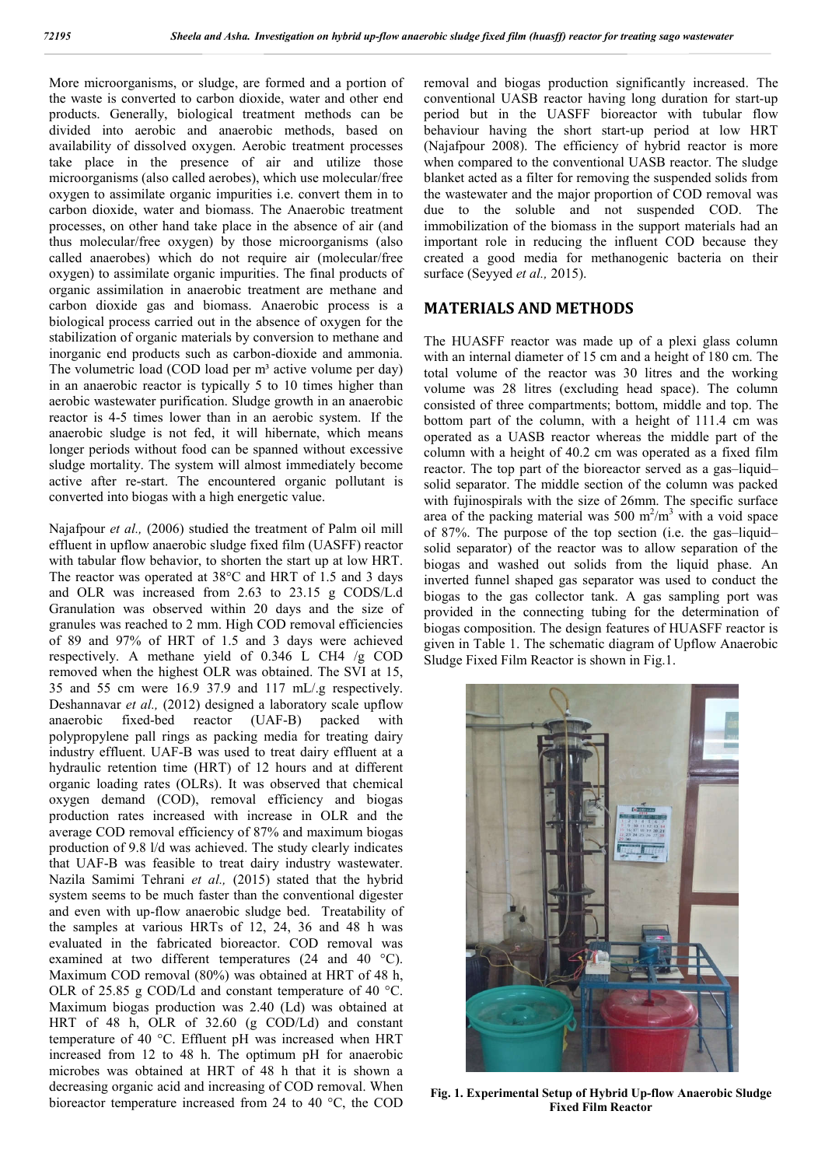More microorganisms, or sludge, are formed and a portion of the waste is converted to carbon dioxide, water and other end products. Generally, biological treatment methods can be divided into aerobic and anaerobic methods, based on availability of dissolved oxygen. Aerobic treatment processes take place in the presence of air and utilize those microorganisms (also called aerobes), which use molecular/free oxygen to assimilate organic impurities i.e. convert them in to carbon dioxide, water and biomass. The Anaerobic treatment processes, on other hand take place in the absence of air (and thus molecular/free oxygen) by those microorganisms (also called anaerobes) which do not require air (molecular/free oxygen) to assimilate organic impurities. The final products of organic assimilation in anaerobic treatment are methane and carbon dioxide gas and biomass. Anaerobic process is a biological process carried out in the absence of oxygen for the stabilization of organic materials by conversion to methane and inorganic end products such as carbon-dioxide and ammonia. The volumetric load (COD load per  $m<sup>3</sup>$  active volume per day) in an anaerobic reactor is typically 5 to 10 times higher than aerobic wastewater purification. Sludge growth in an anaerobic reactor is 4-5 times lower than in an aerobic system. If the anaerobic sludge is not fed, it will hibernate, which means longer periods without food can be spanned without excessive sludge mortality. The system will almost immediately become active after re-start. The encountered organic pollutant is converted into biogas with a high energetic value.

Najafpour *et al.,* (2006) studied the treatment of Palm oil mill effluent in upflow anaerobic sludge fixed film (UASFF) reactor with tabular flow behavior, to shorten the start up at low HRT. The reactor was operated at 38°C and HRT of 1.5 and 3 days and OLR was increased from 2.63 to 23.15 g CODS/L.d Granulation was observed within 20 days and the size of granules was reached to 2 mm. High COD removal efficiencies of 89 and 97% of HRT of 1.5 and 3 days were achieved respectively. A methane yield of 0.346 L CH4 /g COD removed when the highest OLR was obtained. The SVI at 15, 35 and 55 cm were 16.9 37.9 and 117 mL/.g respectively. Deshannavar *et al.*, (2012) designed a laboratory scale upflow<br>anaerobic fixed-bed reactor (UAF-B) packed with anaerobic fixed-bed reactor (UAF-B) packed with polypropylene pall rings as packing media for treating dairy industry effluent. UAF-B was used to treat dairy effluent at a hydraulic retention time (HRT) of 12 hours and at different organic loading rates (OLRs). It was observed that chemical oxygen demand (COD), removal efficiency and biogas production rates increased with increase in OLR and the average COD removal efficiency of 87% and maximum biogas production of 9.8 l/d was achieved. The study clearly indicates that UAF-B was feasible to treat dairy industry wastewater. Nazila Samimi Tehrani *et al.,* (2015) stated that the hybrid system seems to be much faster than the conventional digester and even with up-flow anaerobic sludge bed. Treatability of the samples at various HRTs of 12, 24, 36 and 48 h was evaluated in the fabricated bioreactor. COD removal was examined at two different temperatures (24 and 40 °C). Maximum COD removal (80%) was obtained at HRT of 48 h, OLR of 25.85 g COD/Ld and constant temperature of 40 °C. Maximum biogas production was 2.40 (Ld) was obtained at HRT of 48 h, OLR of 32.60 (g COD/Ld) and constant temperature of 40 °C. Effluent pH was increased when HRT increased from 12 to 48 h. The optimum pH for anaerobic microbes was obtained at HRT of 48 h that it is shown a decreasing organic acid and increasing of COD removal. When bioreactor temperature increased from 24 to 40 °C, the COD

removal and biogas production significantly increased. The conventional UASB reactor having long duration for start-up period but in the UASFF bioreactor with tubular flow behaviour having the short start-up period at low HRT (Najafpour 2008). The efficiency of hybrid reactor is more when compared to the conventional UASB reactor. The sludge blanket acted as a filter for removing the suspended solids from the wastewater and the major proportion of COD removal was due to the soluble and not suspended COD. The immobilization of the biomass in the support materials had an important role in reducing the influent COD because they created a good media for methanogenic bacteria on their surface (Seyyed *et al.,* 2015).

## **MATERIALS AND METHODS**

The HUASFF reactor was made up of a plexi glass column with an internal diameter of 15 cm and a height of 180 cm. The total volume of the reactor was 30 litres and the working volume was 28 litres (excluding head space). The column consisted of three compartments; bottom, middle and top. The bottom part of the column, with a height of 111.4 cm was operated as a UASB reactor whereas the middle part of the column with a height of 40.2 cm was operated as a fixed film reactor. The top part of the bioreactor served as a gas–liquid– solid separator. The middle section of the column was packed with fujinospirals with the size of 26mm. The specific surface area of the packing material was 500  $m^2/m^3$  with a void space of 87%. The purpose of the top section (i.e. the gas–liquid– solid separator) of the reactor was to allow separation of the biogas and washed out solids from the liquid phase. An inverted funnel shaped gas separator was used to conduct the biogas to the gas collector tank. A gas sampling port was provided in the connecting tubing for the determination of biogas composition. The design features of HUASFF reactor is given in Table 1. The schematic diagram of Upflow Anaerobic Sludge Fixed Film Reactor is shown in Fig.1.



**Fig. 1. Experimental Setup of Hybrid Up-flow Anaerobic Sludge Fixed Film Reactor**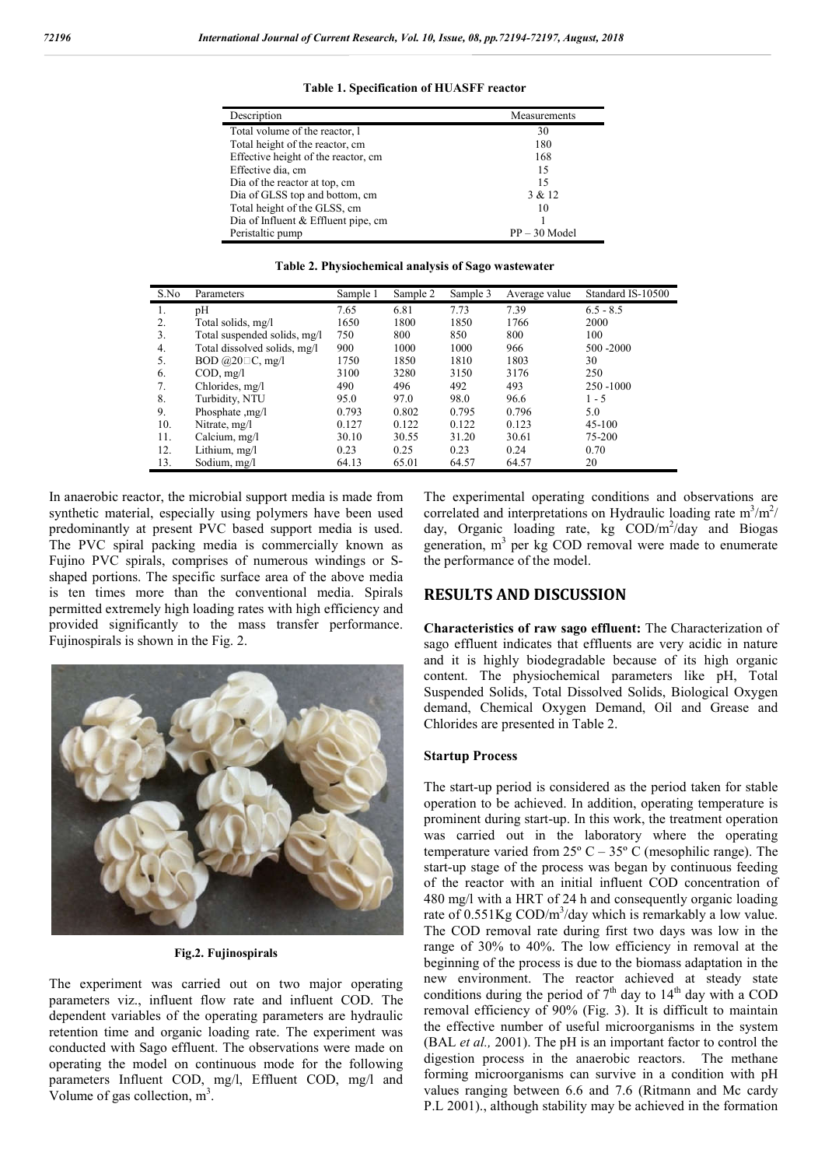| Measurements    |
|-----------------|
| 30              |
| 180             |
| 168             |
| 15              |
| 15              |
| 3 & 12          |
| 10              |
|                 |
| $PP - 30$ Model |
|                 |

**Table 1. Specification of HUASFF reactor**

|  |  | Table 2. Physiochemical analysis of Sago wastewater |
|--|--|-----------------------------------------------------|
|  |  |                                                     |

| S.No | Parameters                   | Sample 1 | Sample 2 | Sample 3 | Average value | Standard IS-10500 |
|------|------------------------------|----------|----------|----------|---------------|-------------------|
| 1.   | pН                           | 7.65     | 6.81     | 7.73     | 7.39          | $6.5 - 8.5$       |
| 2.   | Total solids, mg/l           | 1650     | 1800     | 1850     | 1766          | 2000              |
| 3.   | Total suspended solids, mg/l | 750      | 800      | 850      | 800           | 100               |
| 4.   | Total dissolved solids, mg/l | 900      | 1000     | 1000     | 966           | 500 - 2000        |
| 5.   | BOD $@20 \square C$ , mg/l   | 1750     | 1850     | 1810     | 1803          | 30                |
| 6.   | COD, mg/l                    | 3100     | 3280     | 3150     | 3176          | 250               |
| 7.   | Chlorides, mg/l              | 490      | 496      | 492      | 493           | 250 - 1000        |
| 8.   | Turbidity, NTU               | 95.0     | 97.0     | 98.0     | 96.6          | $1 - 5$           |
| 9.   | Phosphate ,mg/l              | 0.793    | 0.802    | 0.795    | 0.796         | 5.0               |
| 10.  | Nitrate, mg/l                | 0.127    | 0.122    | 0.122    | 0.123         | 45-100            |
| 11.  | Calcium, mg/l                | 30.10    | 30.55    | 31.20    | 30.61         | 75-200            |
| 12.  | Lithium, mg/l                | 0.23     | 0.25     | 0.23     | 0.24          | 0.70              |
| 13.  | Sodium, mg/l                 | 64.13    | 65.01    | 64.57    | 64.57         | 20                |

In anaerobic reactor, the microbial support media is made from synthetic material, especially using polymers have been used predominantly at present PVC based support media is used. The PVC spiral packing media is commercially known as Fujino PVC spirals, comprises of numerous windings or Sshaped portions. The specific surface area of the above media is ten times more than the conventional media. Spirals permitted extremely high loading rates with high efficiency and provided significantly to the mass transfer performance. Fujinospirals is shown in the Fig. 2.



**Fig.2. Fujinospirals**

The experiment was carried out on two major operating parameters viz., influent flow rate and influent COD. The dependent variables of the operating parameters are hydraulic retention time and organic loading rate. The experiment was conducted with Sago effluent. The observations were made on operating the model on continuous mode for the following parameters Influent COD, mg/l, Effluent COD, mg/l and Volume of gas collection,  $m<sup>3</sup>$ .

The experimental operating conditions and observations are correlated and interpretations on Hydraulic loading rate  $m^3/m^2$ / day, Organic loading rate, kg COD/m<sup>2</sup>/day and Biogas generation,  $m<sup>3</sup>$  per kg COD removal were made to enumerate the performance of the model.

#### **RESULTS AND DISCUSSION**

**Characteristics of raw sago effluent:** The Characterization of sago effluent indicates that effluents are very acidic in nature and it is highly biodegradable because of its high organic content. The physiochemical parameters like pH, Total Suspended Solids, Total Dissolved Solids, Biological Oxygen demand, Chemical Oxygen Demand, Oil and Grease and Chlorides are presented in Table 2.

#### **Startup Process**

The start-up period is considered as the period taken for stable operation to be achieved. In addition, operating temperature is prominent during start-up. In this work, the treatment operation was carried out in the laboratory where the operating temperature varied from  $25^{\circ}$  C –  $35^{\circ}$  C (mesophilic range). The start-up stage of the process was began by continuous feeding of the reactor with an initial influent COD concentration of 480 mg/l with a HRT of 24 h and consequently organic loading rate of 0.551Kg COD/m<sup>3</sup>/day which is remarkably a low value. The COD removal rate during first two days was low in the range of 30% to 40%. The low efficiency in removal at the beginning of the process is due to the biomass adaptation in the new environment. The reactor achieved at steady state conditions during the period of  $7<sup>th</sup>$  day to  $14<sup>th</sup>$  day with a COD removal efficiency of 90% (Fig. 3). It is difficult to maintain the effective number of useful microorganisms in the system (BAL *et al.,* 2001). The pH is an important factor to control the digestion process in the anaerobic reactors. The methane forming microorganisms can survive in a condition with pH values ranging between 6.6 and 7.6 (Ritmann and Mc cardy P.L 2001)., although stability may be achieved in the formation